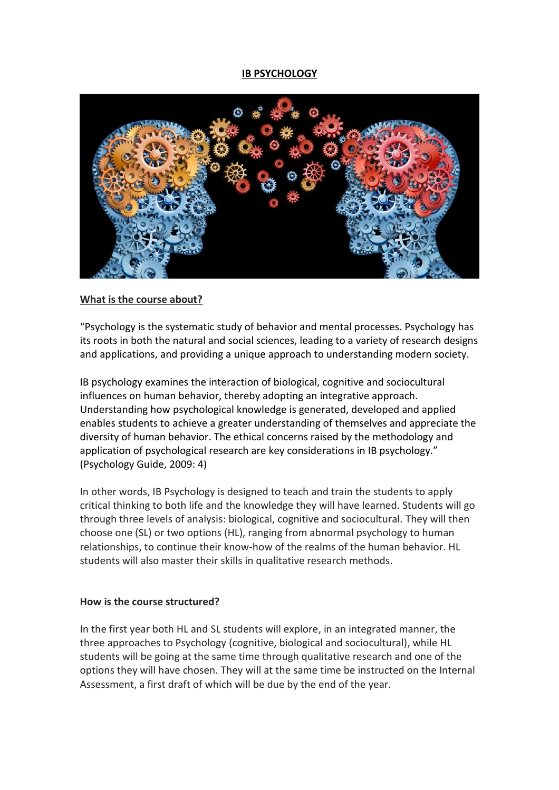### **IB PSYCHOLOGY**



#### **What is the course about?**

"Psychology is the systematic study of behavior and mental processes. Psychology has its roots in both the natural and social sciences, leading to a variety of research designs and applications, and providing a unique approach to understanding modern society.

IB psychology examines the interaction of biological, cognitive and sociocultural influences on human behavior, thereby adopting an integrative approach. Understanding how psychological knowledge is generated, developed and applied enables students to achieve a greater understanding of themselves and appreciate the diversity of human behavior. The ethical concerns raised by the methodology and application of psychological research are key considerations in IB psychology." (Psychology Guide, 2009: 4)

In other words, IB Psychology is designed to teach and train the students to apply critical thinking to both life and the knowledge they will have learned. Students will go through three levels of analysis: biological, cognitive and sociocultural. They will then choose one (SL) or two options (HL), ranging from abnormal psychology to human relationships, to continue their know-how of the realms of the human behavior. HL students will also master their skills in qualitative research methods.

#### **How is the course structured?**

In the first year both HL and SL students will explore, in an integrated manner, the three approaches to Psychology (cognitive, biological and sociocultural), while HL students will be going at the same time through qualitative research and one of the options they will have chosen. They will at the same time be instructed on the Internal Assessment, a first draft of which will be due by the end of the year.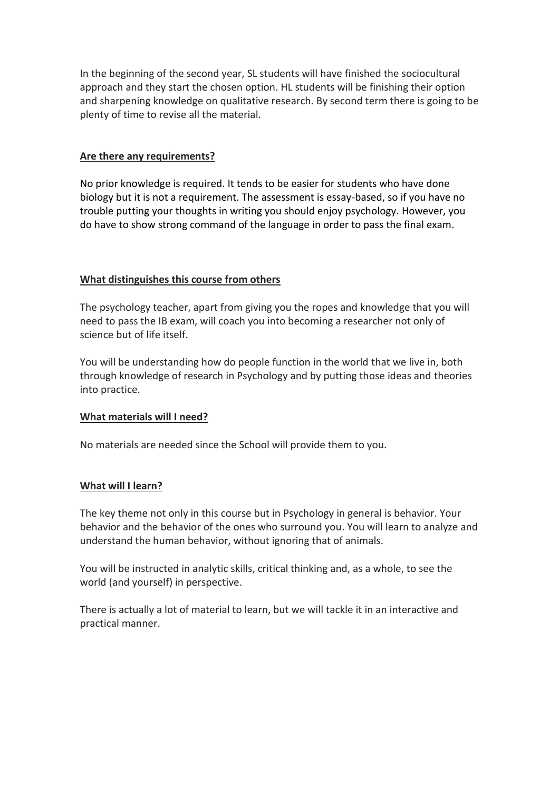In the beginning of the second year, SL students will have finished the sociocultural approach and they start the chosen option. HL students will be finishing their option and sharpening knowledge on qualitative research. By second term there is going to be plenty of time to revise all the material.

# **Are there any requirements?**

No prior knowledge is required. It tends to be easier for students who have done biology but it is not a requirement. The assessment is essay-based, so if you have no trouble putting your thoughts in writing you should enjoy psychology. However, you do have to show strong command of the language in order to pass the final exam.

## **What distinguishes this course from others**

The psychology teacher, apart from giving you the ropes and knowledge that you will need to pass the IB exam, will coach you into becoming a researcher not only of science but of life itself.

You will be understanding how do people function in the world that we live in, both through knowledge of research in Psychology and by putting those ideas and theories into practice.

### **What materials will I need?**

No materials are needed since the School will provide them to you.

### **What will I learn?**

The key theme not only in this course but in Psychology in general is behavior. Your behavior and the behavior of the ones who surround you. You will learn to analyze and understand the human behavior, without ignoring that of animals.

You will be instructed in analytic skills, critical thinking and, as a whole, to see the world (and yourself) in perspective.

There is actually a lot of material to learn, but we will tackle it in an interactive and practical manner.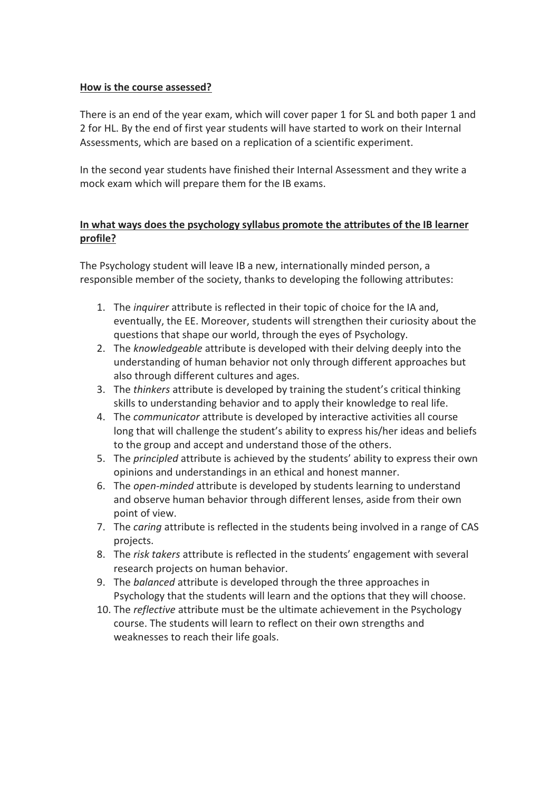### **How is the course assessed?**

There is an end of the year exam, which will cover paper 1 for SL and both paper 1 and 2 for HL. By the end of first year students will have started to work on their Internal Assessments, which are based on a replication of a scientific experiment.

In the second year students have finished their Internal Assessment and they write a mock exam which will prepare them for the IB exams.

# **In what ways does the psychology syllabus promote the attributes of the IB learner profile?**

The Psychology student will leave IB a new, internationally minded person, a responsible member of the society, thanks to developing the following attributes:

- 1. The *inquirer* attribute is reflected in their topic of choice for the IA and, eventually, the EE. Moreover, students will strengthen their curiosity about the questions that shape our world, through the eyes of Psychology.
- 2. The *knowledgeable* attribute is developed with their delving deeply into the understanding of human behavior not only through different approaches but also through different cultures and ages.
- 3. The *thinkers* attribute is developed by training the student's critical thinking skills to understanding behavior and to apply their knowledge to real life.
- 4. The *communicator* attribute is developed by interactive activities all course long that will challenge the student's ability to express his/her ideas and beliefs to the group and accept and understand those of the others.
- 5. The *principled* attribute is achieved by the students' ability to express their own opinions and understandings in an ethical and honest manner.
- 6. The *open-minded* attribute is developed by students learning to understand and observe human behavior through different lenses, aside from their own point of view.
- 7. The *caring* attribute is reflected in the students being involved in a range of CAS projects.
- 8. The *risk takers* attribute is reflected in the students' engagement with several research projects on human behavior.
- 9. The *balanced* attribute is developed through the three approaches in Psychology that the students will learn and the options that they will choose.
- 10. The *reflective* attribute must be the ultimate achievement in the Psychology course. The students will learn to reflect on their own strengths and weaknesses to reach their life goals.